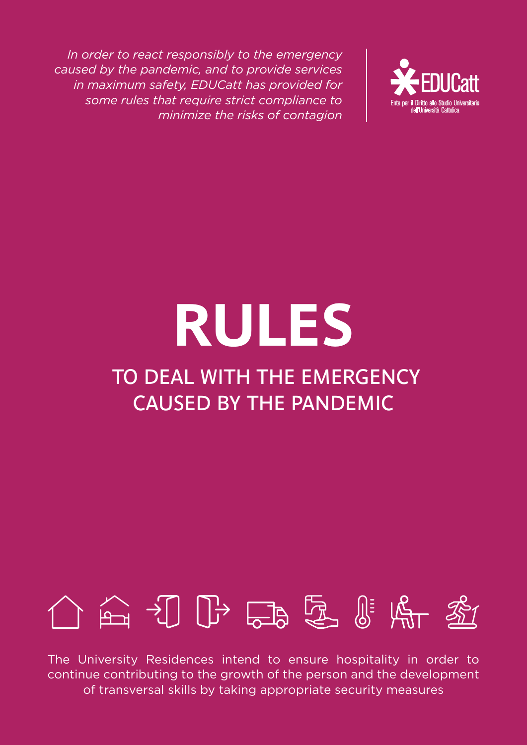

# **RULES** TO DEAL WITH THE EMERGENCY CAUSED BY THE PANDEMIC

# 介面打卧品愿贴所密

The University Residences intend to ensure hospitality in order to continue contributing to the growth of the person and the development of transversal skills by taking appropriate security measures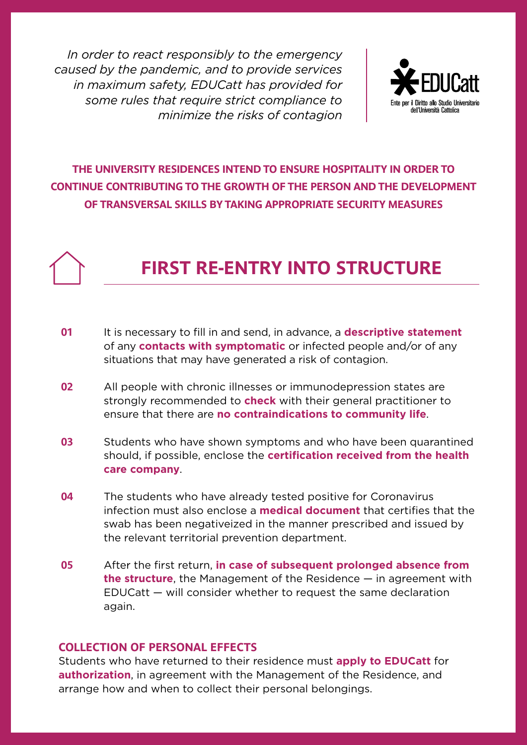

### **THE UNIVERSITY RESIDENCES INTEND TO ENSURE HOSPITALITY IN ORDER TO CONTINUE CONTRIBUTING TO THE GROWTH OF THE PERSON AND THE DEVELOPMENT OF TRANSVERSAL SKILLS BY TAKING APPROPRIATE SECURITY MEASURES**

## **FIRST RE-ENTRY INTO STRUCTURE**

- It is necessary to fill in and send, in advance, a **descriptive statement** of any **contacts with symptomatic** or infected people and/or of any situations that may have generated a risk of contagion. **01**
- All people with chronic illnesses or immunodepression states are strongly recommended to **check** with their general practitioner to ensure that there are **no contraindications to community life**. **02**
- Students who have shown symptoms and who have been quarantined should, if possible, enclose the **certification received from the health care company**. **03**
- The students who have already tested positive for Coronavirus infection must also enclose a **medical document** that certifies that the swab has been negativeized in the manner prescribed and issued by the relevant territorial prevention department. **04**
- After the first return, **in case of subsequent prolonged absence from the structure**, the Management of the Residence — in agreement with EDUCatt — will consider whether to request the same declaration again. **05**

### **COLLECTION OF PERSONAL EFFECTS**

Students who have returned to their residence must **apply to EDUCatt** for **authorization**, in agreement with the Management of the Residence, and arrange how and when to collect their personal belongings.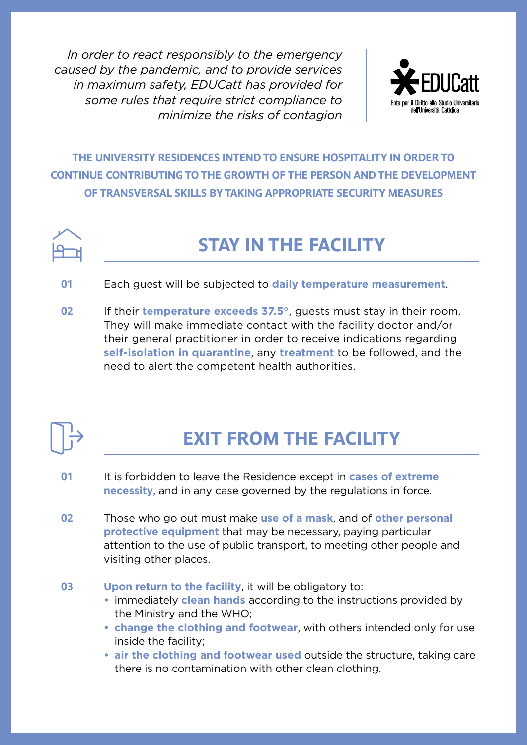

**THE UNIVERSITY RESIDENCES INTEND TO ENSURE HOSPITALITY IN ORDER TO CONTINUE CONTRIBUTING TO THE GROWTH OF THE PERSON AND THE DEVELOPMENT OF TRANSVERSAL SKILLS BY TAKING APPROPRIATE SECURITY MEASURES**



## **STAY IN THE FACILITY**

- Each guest will be subjected to **daily temperature measurement**. **01**
- If their **temperature exceeds 37.5°**, guests must stay in their room. They will make immediate contact with the facility doctor and/or their general practitioner in order to receive indications regarding **self-isolation in quarantine**, any **treatment** to be followed, and the need to alert the competent health authorities. **02**



# **EXIT FROM THE FACILITY**

- It is forbidden to leave the Residence except in **cases of extreme necessity**, and in any case governed by the regulations in force. **01**
- Those who go out must make **use of a mask**, and of **other personal protective equipment** that may be necessary, paying particular attention to the use of public transport, to meeting other people and visiting other places. **02**
- **Upon return to the facility**, it will be obligatory to: **03**
	- **•** immediately **clean hands** according to the instructions provided by the Ministry and the WHO;
	- **• change the clothing and footwear**, with others intended only for use inside the facility;
	- **• air the clothing and footwear used** outside the structure, taking care there is no contamination with other clean clothing.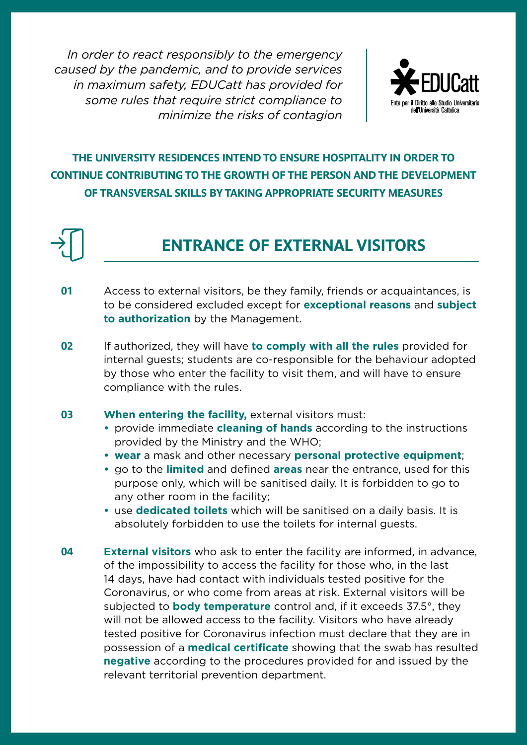

### **THE UNIVERSITY RESIDENCES INTEND TO ENSURE HOSPITALITY IN ORDER TO CONTINUE CONTRIBUTING TO THE GROWTH OF THE PERSON AND THE DEVELOPMENT OF TRANSVERSAL SKILLS BY TAKING APPROPRIATE SECURITY MEASURES**



### **ENTRANCE OF EXTERNAL VISITORS**

- Access to external visitors, be they family, friends or acquaintances, is to be considered excluded except for **exceptional reasons** and **subject to authorization** by the Management. **01**
- If authorized, they will have **to comply with all the rules** provided for internal guests; students are co-responsible for the behaviour adopted by those who enter the facility to visit them, and will have to ensure compliance with the rules. **02**

#### **When entering the facility, external visitors must: 03**

- **•** provide immediate **cleaning of hands** according to the instructions provided by the Ministry and the WHO;
- **• wear** a mask and other necessary **personal protective equipment**;
- **•** go to the **limited** and defined **areas** near the entrance, used for this purpose only, which will be sanitised daily. It is forbidden to go to any other room in the facility;
- **•** use **dedicated toilets** which will be sanitised on a daily basis. It is absolutely forbidden to use the toilets for internal guests.
- **External visitors** who ask to enter the facility are informed, in advance, of the impossibility to access the facility for those who, in the last 14 days, have had contact with individuals tested positive for the Coronavirus, or who come from areas at risk. External visitors will be subjected to **body temperature** control and, if it exceeds 37.5°, they will not be allowed access to the facility. Visitors who have already tested positive for Coronavirus infection must declare that they are in possession of a **medical certificate** showing that the swab has resulted **negative** according to the procedures provided for and issued by the relevant territorial prevention department. **04**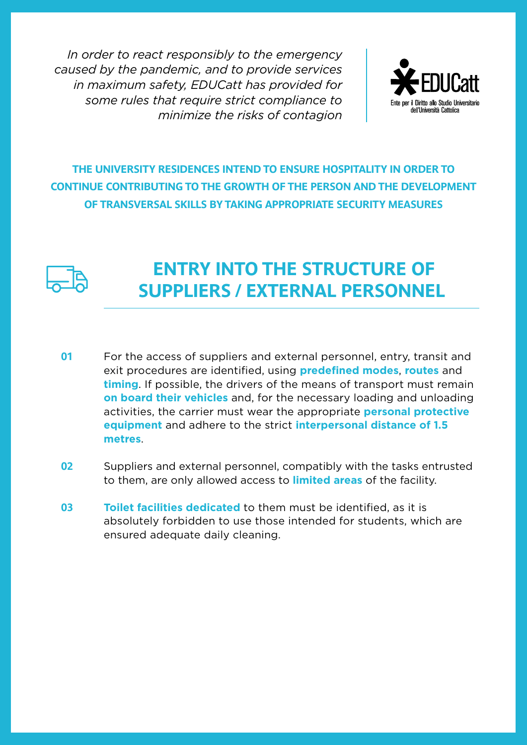

### **THE UNIVERSITY RESIDENCES INTEND TO ENSURE HOSPITALITY IN ORDER TO CONTINUE CONTRIBUTING TO THE GROWTH OF THE PERSON AND THE DEVELOPMENT OF TRANSVERSAL SKILLS BY TAKING APPROPRIATE SECURITY MEASURES**



### **ENTRY INTO THE STRUCTURE OF SUPPLIERS / EXTERNAL PERSONNEL**

- For the access of suppliers and external personnel, entry, transit and exit procedures are identified, using **predefined modes**, **routes** and **timing**. If possible, the drivers of the means of transport must remain **on board their vehicles** and, for the necessary loading and unloading activities, the carrier must wear the appropriate **personal protective equipment** and adhere to the strict **interpersonal distance of 1.5 metres**. **01**
- Suppliers and external personnel, compatibly with the tasks entrusted to them, are only allowed access to **limited areas** of the facility. **02**
- **Toilet facilities dedicated** to them must be identified, as it is absolutely forbidden to use those intended for students, which are ensured adequate daily cleaning. **03**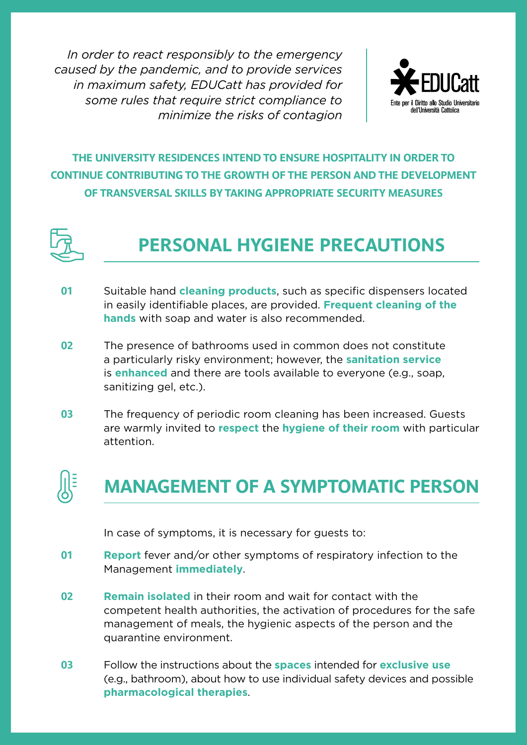

### **THE UNIVERSITY RESIDENCES INTEND TO ENSURE HOSPITALITY IN ORDER TO CONTINUE CONTRIBUTING TO THE GROWTH OF THE PERSON AND THE DEVELOPMENT OF TRANSVERSAL SKILLS BY TAKING APPROPRIATE SECURITY MEASURES**



# **PERSONAL HYGIENE PRECAUTIONS**

- Suitable hand **cleaning products**, such as specific dispensers located in easily identifiable places, are provided. **Frequent cleaning of the hands** with soap and water is also recommended. **01**
- The presence of bathrooms used in common does not constitute a particularly risky environment; however, the **sanitation service** is **enhanced** and there are tools available to everyone (e.g., soap, sanitizing gel, etc.). **02**
- The frequency of periodic room cleaning has been increased. Guests are warmly invited to **respect** the **hygiene of their room** with particular attention. **03**



# **MANAGEMENT OF A SYMPTOMATIC PERSON**

In case of symptoms, it is necessary for guests to:

- **Report** fever and/or other symptoms of respiratory infection to the Management **immediately**. **01**
- **Remain isolated** in their room and wait for contact with the competent health authorities, the activation of procedures for the safe management of meals, the hygienic aspects of the person and the quarantine environment. **02**
- Follow the instructions about the **spaces** intended for **exclusive use** (e.g., bathroom), about how to use individual safety devices and possible **pharmacological therapies**. **03**